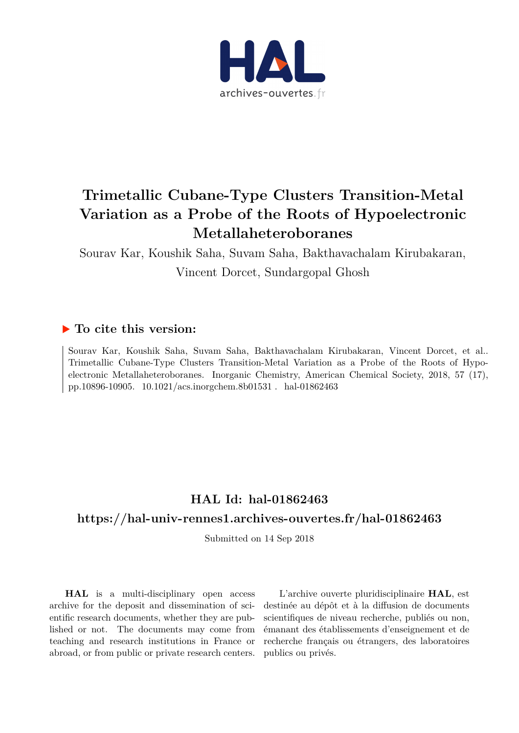

# **Trimetallic Cubane-Type Clusters Transition-Metal Variation as a Probe of the Roots of Hypoelectronic Metallaheteroboranes**

Sourav Kar, Koushik Saha, Suvam Saha, Bakthavachalam Kirubakaran, Vincent Dorcet, Sundargopal Ghosh

## **To cite this version:**

Sourav Kar, Koushik Saha, Suvam Saha, Bakthavachalam Kirubakaran, Vincent Dorcet, et al.. Trimetallic Cubane-Type Clusters Transition-Metal Variation as a Probe of the Roots of Hypoelectronic Metallaheteroboranes. Inorganic Chemistry, American Chemical Society, 2018, 57 (17), pp.10896-10905. 10.1021/acs.inorgchem.8b01531 . hal-01862463

# **HAL Id: hal-01862463**

### **<https://hal-univ-rennes1.archives-ouvertes.fr/hal-01862463>**

Submitted on 14 Sep 2018

**HAL** is a multi-disciplinary open access archive for the deposit and dissemination of scientific research documents, whether they are published or not. The documents may come from teaching and research institutions in France or abroad, or from public or private research centers.

L'archive ouverte pluridisciplinaire **HAL**, est destinée au dépôt et à la diffusion de documents scientifiques de niveau recherche, publiés ou non, émanant des établissements d'enseignement et de recherche français ou étrangers, des laboratoires publics ou privés.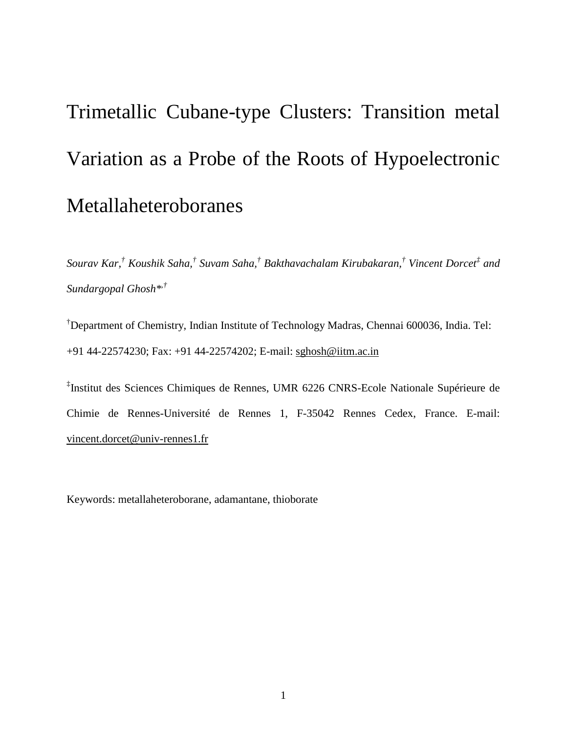# Trimetallic Cubane-type Clusters: Transition metal Variation as a Probe of the Roots of Hypoelectronic Metallaheteroboranes

*Sourav Kar,† Koushik Saha,† Suvam Saha, † Bakthavachalam [Kirubakaran,](https://pubs.acs.org/author/Kirubakaran%2C+Bakthavachalam) † Vincent Dorcet‡ and Sundargopal Ghosh\*,†*

† Department of Chemistry, Indian Institute of Technology Madras, Chennai 600036, India. Tel: +91 44-22574230; Fax: +91 44-22574202; E-mail: [sghosh@iitm.ac.in](mailto:sghosh@iitm.ac.in)

‡ Institut des Sciences Chimiques de Rennes, UMR 6226 CNRS-Ecole Nationale Supérieure de Chimie de Rennes-Université de Rennes 1, F-35042 Rennes Cedex, France. E-mail: vincent.dorcet@univ-rennes1.fr

Keywords: metallaheteroborane, adamantane, thioborate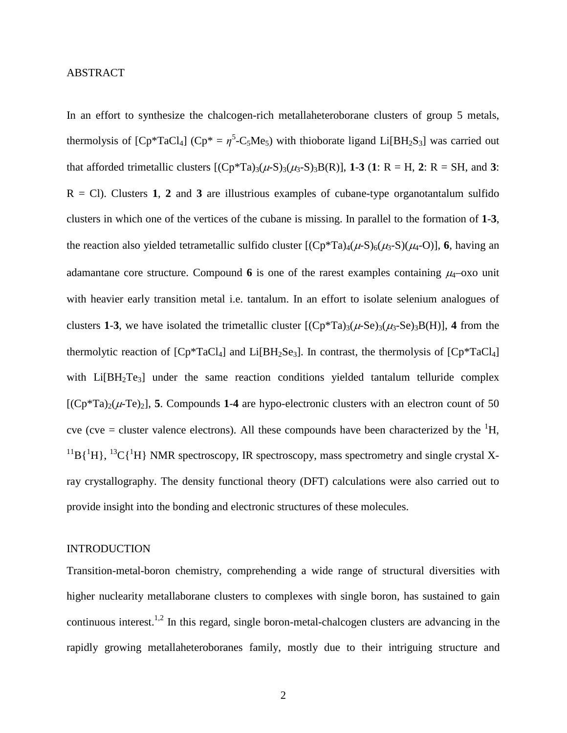#### ABSTRACT

In an effort to synthesize the chalcogen-rich metallaheteroborane clusters of group 5 metals, thermolysis of  $[Cp^*TaCl_4]$  ( $Cp^* = \eta^5-C_5Me_5$ ) with thioborate ligand Li $[BH_2S_3]$  was carried out that afforded trimetallic clusters  $[(Cp*Ta)_{3}(\mu-S)_{3}(\mu-S)_{3}B(R)]$ , **1-3** (**1**: R = H, **2**: R = SH, and **3**:  $R = Cl$ ). Clusters 1, 2 and 3 are illustrious examples of cubane-type organotantalum sulfido clusters in which one of the vertices of the cubane is missing. In parallel to the formation of **1**-**3**, the reaction also yielded tetrametallic sulfido cluster  $[(Cp*Ta)_{4}(\mu-S)_{6}(\mu_{3}-S)(\mu_{4}-O)]$ , **6**, having an adamantane core structure. Compound 6 is one of the rarest examples containing  $\mu_4$ –oxo unit with heavier early transition metal i.e. tantalum. In an effort to isolate selenium analogues of clusters **1-3**, we have isolated the trimetallic cluster  $[(Cp*Ta)_{3}(\mu-Se)_{3}(\mu-Se)_{3}B(H)]$ , **4** from the thermolytic reaction of  $[Cp^*TaCl_4]$  and  $Li[BH_2Se_3]$ . In contrast, the thermolysis of  $[Cp^*TaCl_4]$ with Li[BH<sub>2</sub>Te<sub>3</sub>] under the same reaction conditions yielded tantalum telluride complex  $[(Cp*Ta)_{2}(\mu-Te)_{2}]$ , **5**. Compounds **1-4** are hypo-electronic clusters with an electron count of 50 cve (cve = cluster valence electrons). All these compounds have been characterized by the  ${}^{1}H$ ,  $^{11}B(^{1}H)$ ,  $^{13}C(^{1}H)$  NMR spectroscopy, IR spectroscopy, mass spectrometry and single crystal Xray crystallography. The density functional theory (DFT) calculations were also carried out to provide insight into the bonding and electronic structures of these molecules.

#### INTRODUCTION

Transition-metal-boron chemistry, comprehending a wide range of structural diversities with higher nuclearity metallaborane clusters to complexes with single boron, has sustained to gain continuous interest.<sup>1,2</sup> In this regard, single boron-metal-chalcogen clusters are advancing in the rapidly growing metallaheteroboranes family, mostly due to their intriguing structure and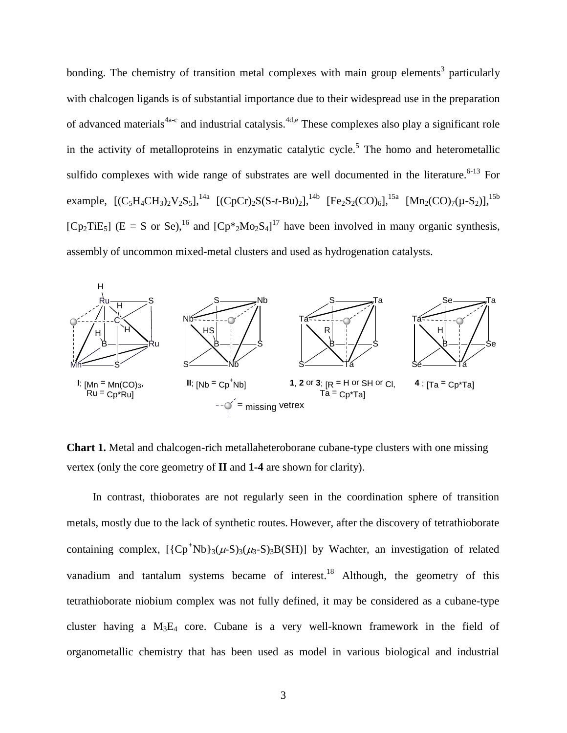bonding. The chemistry of transition metal complexes with main group elements<sup>3</sup> particularly with chalcogen ligands is of substantial importance due to their widespread use in the preparation of advanced materials<sup>4a-c</sup> and industrial catalysis.<sup>4d,e</sup> These complexes also play a significant role in the activity of metalloproteins in enzymatic catalytic cycle.<sup>5</sup> The homo and heterometallic sulfido complexes with wide range of substrates are well documented in the literature.<sup>6-13</sup> For example,  $[(C_5H_4CH_3)_2V_2S_5]$ ,<sup>14a</sup>  $[(CpCr)_2S(S-t-Bu)_2]$ ,<sup>14b</sup>  $[Fe_2S_2(CO)_6]$ ,<sup>15a</sup>  $[Mn_2(CO)_7(\mu-S_2)]$ ,<sup>15b</sup> [Cp<sub>2</sub>TiE<sub>5</sub>] (E = S or Se),<sup>16</sup> and [Cp<sup>\*</sup><sub>2</sub>Mo<sub>2</sub>S<sub>4</sub>]<sup>17</sup> have been involved in many organic synthesis, assembly of uncommon mixed-metal clusters and used as hydrogenation catalysts.



**Chart 1.** Metal and chalcogen-rich metallaheteroborane cubane-type clusters with one missing vertex (only the core geometry of **II** and **1-4** are shown for clarity).

In contrast, thioborates are not regularly seen in the coordination sphere of transition metals, mostly due to the lack of synthetic routes. However, after the discovery of tetrathioborate containing complex,  $[\{Cp^+Nb\}_3(\mu-S)_3(B(SH)]$  by Wachter, an investigation of related vanadium and tantalum systems became of interest.<sup>18</sup> Although, the geometry of this tetrathioborate niobium complex was not fully defined, it may be considered as a cubane-type cluster having a  $M_3E_4$  core. Cubane is a very well-known framework in the field of organometallic chemistry that has been used as model in various biological and industrial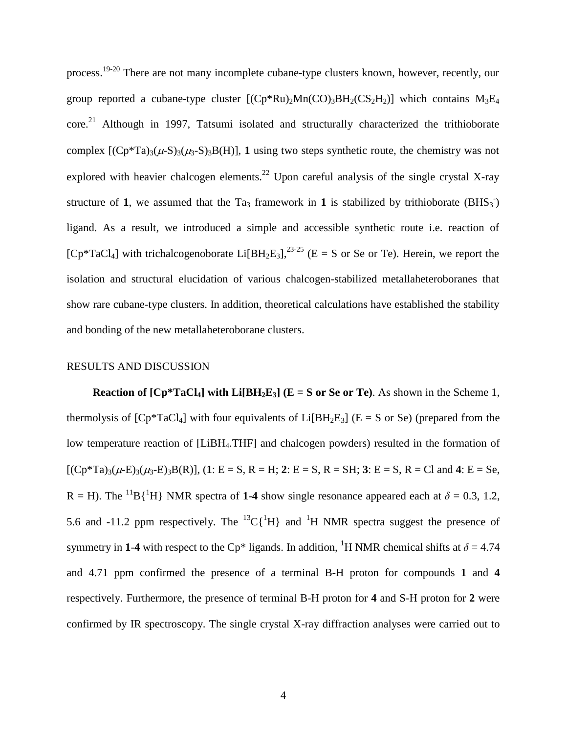process.19-20 There are not many incomplete cubane-type clusters known, however, recently, our group reported a cubane-type cluster  $[(Cp*Ru)<sub>2</sub>Mn(CO)<sub>3</sub>BH<sub>2</sub>(CS<sub>2</sub>H<sub>2</sub>)]$  which contains  $M<sub>3</sub>E<sub>4</sub>$ core.<sup>21</sup> Although in 1997, Tatsumi isolated and structurally characterized the trithioborate complex  $[(Cp*Ta)_{3}(\mu-S)_{3}(\mu-S)_{3}B(H)]$ , **1** using two steps synthetic route, the chemistry was not explored with heavier chalcogen elements.<sup>22</sup> Upon careful analysis of the single crystal X-ray structure of 1, we assumed that the Ta<sub>3</sub> framework in 1 is stabilized by trithioborate  $(BHS_3^-)$ ligand. As a result, we introduced a simple and accessible synthetic route i.e. reaction of  $[CP^*TaCl_4]$  with trichalcogenoborate  $Li[BH_2E_3]$ ,  $2^{3-25}$  (E = S or Se or Te). Herein, we report the isolation and structural elucidation of various chalcogen-stabilized metallaheteroboranes that show rare cubane-type clusters. In addition, theoretical calculations have established the stability and bonding of the new metallaheteroborane clusters.

#### RESULTS AND DISCUSSION

**Reaction of**  $[CP^*TaCl_4]$  **with**  $Li[BH_2E_3]$  **(** $E = S$  **or Se or Te). As shown in the Scheme 1,** thermolysis of  $[Cp^*TaCl_4]$  with four equivalents of Li $[BH_2E_3]$  (E = S or Se) (prepared from the low temperature reaction of [LiBH4.THF] and chalcogen powders) resulted in the formation of  $[(Cp*Ta)_{3}(\mu-E)_{3}(\mu_{3}-E)_{3}B(R)]$ ,  $(1: E = S, R = H; 2: E = S, R = SH; 3: E = S, R = Cl and 4: E = Se,$  $R = H$ ). The <sup>11</sup>B{<sup>1</sup>H} NMR spectra of 1-4 show single resonance appeared each at  $\delta = 0.3, 1.2$ , 5.6 and -11.2 ppm respectively. The  ${}^{13}C[{^1}H]$  and  ${}^{1}H$  NMR spectra suggest the presence of symmetry in 1-4 with respect to the Cp<sup>\*</sup> ligands. In addition, <sup>1</sup>H NMR chemical shifts at  $\delta = 4.74$ and 4.71 ppm confirmed the presence of a terminal B-H proton for compounds **1** and **4** respectively. Furthermore, the presence of terminal B-H proton for **4** and S-H proton for **2** were confirmed by IR spectroscopy. The single crystal X-ray diffraction analyses were carried out to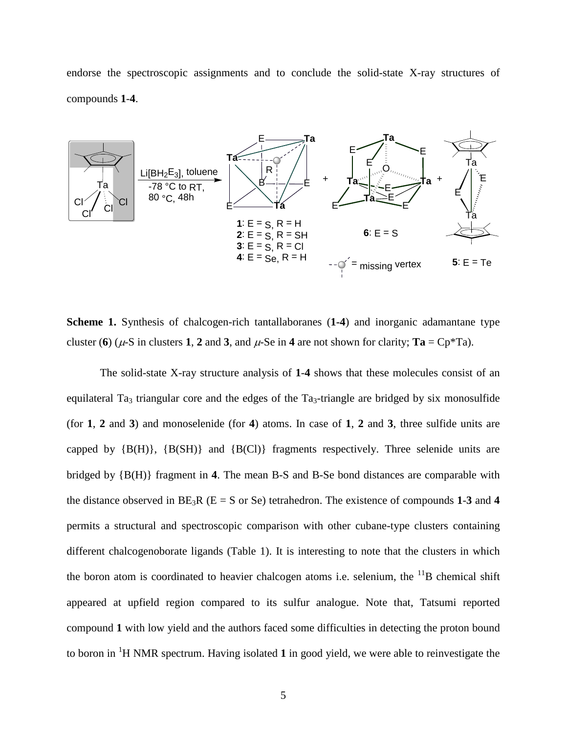endorse the spectroscopic assignments and to conclude the solid-state X-ray structures of compounds **1**-**4**.



**Scheme 1.** Synthesis of chalcogen-rich tantallaboranes (**1-4**) and inorganic adamantane type cluster (**6**) ( $\mu$ -S in clusters **1**, **2** and **3**, and  $\mu$ -Se in **4** are not shown for clarity; **Ta** = Cp<sup>\*</sup>Ta).

The solid-state X-ray structure analysis of **1**-**4** shows that these molecules consist of an equilateral Ta<sub>3</sub> triangular core and the edges of the Ta<sub>3</sub>-triangle are bridged by six monosulfide (for **1**, **2** and **3**) and monoselenide (for **4**) atoms. In case of **1**, **2** and **3**, three sulfide units are capped by  ${B(H)}$ ,  ${B(SH)}$  and  ${B(CI)}$  fragments respectively. Three selenide units are bridged by {B(H)} fragment in **4**. The mean B-S and B-Se bond distances are comparable with the distance observed in  $BE_3R$  ( $E = S$  or  $Se$ ) tetrahedron. The existence of compounds 1-3 and 4 permits a structural and spectroscopic comparison with other cubane-type clusters containing different chalcogenoborate ligands (Table 1). It is interesting to note that the clusters in which the boron atom is coordinated to heavier chalcogen atoms i.e. selenium, the  $^{11}B$  chemical shift appeared at upfield region compared to its sulfur analogue. Note that, Tatsumi reported compound **1** with low yield and the authors faced some difficulties in detecting the proton bound to boron in <sup>1</sup> H NMR spectrum. Having isolated **1** in good yield, we were able to reinvestigate the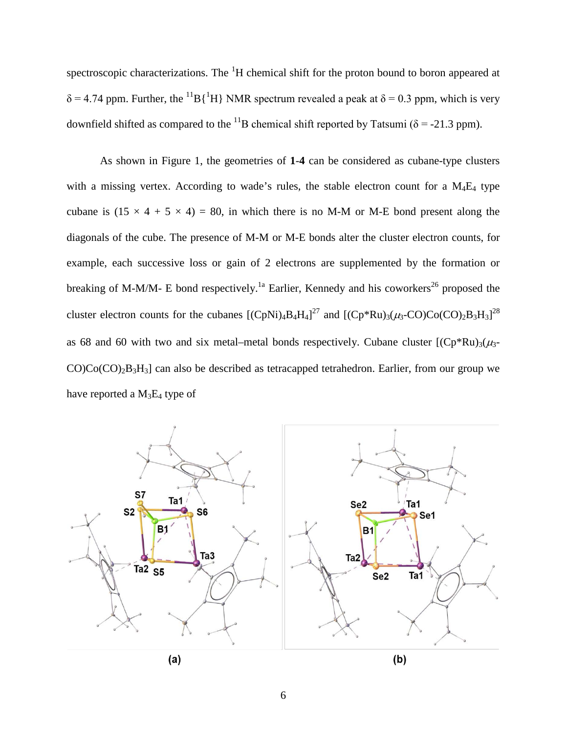spectroscopic characterizations. The  ${}^{1}H$  chemical shift for the proton bound to boron appeared at  $\delta$  = 4.74 ppm. Further, the <sup>11</sup>B{<sup>1</sup>H} NMR spectrum revealed a peak at  $\delta$  = 0.3 ppm, which is very downfield shifted as compared to the <sup>11</sup>B chemical shift reported by Tatsumi ( $\delta$  = -21.3 ppm).

As shown in Figure 1, the geometries of **1**-**4** can be considered as cubane-type clusters with a missing vertex. According to wade's rules, the stable electron count for a  $M_4E_4$  type cubane is  $(15 \times 4 + 5 \times 4) = 80$ , in which there is no M-M or M-E bond present along the diagonals of the cube. The presence of M-M or M-E bonds alter the cluster electron counts, for example, each successive loss or gain of 2 electrons are supplemented by the formation or breaking of M-M/M- E bond respectively.<sup>1a</sup> Earlier, Kennedy and his coworkers<sup>26</sup> proposed the cluster electron counts for the cubanes  $[(CpNi)_4B_4H_4]^{27}$  and  $[(Cp*Ru)_3(\mu_3-CO)Co(CO)_2B_3H_3]^{28}$ as 68 and 60 with two and six metal–metal bonds respectively. Cubane cluster  $[(Cp*Ru)<sub>3</sub>(\mu<sub>3</sub>-1)]$  $CO$ ) $Co(CO)_{2}B_{3}H_{3}$ ] can also be described as tetracapped tetrahedron. Earlier, from our group we have reported a  $M_3E_4$  type of

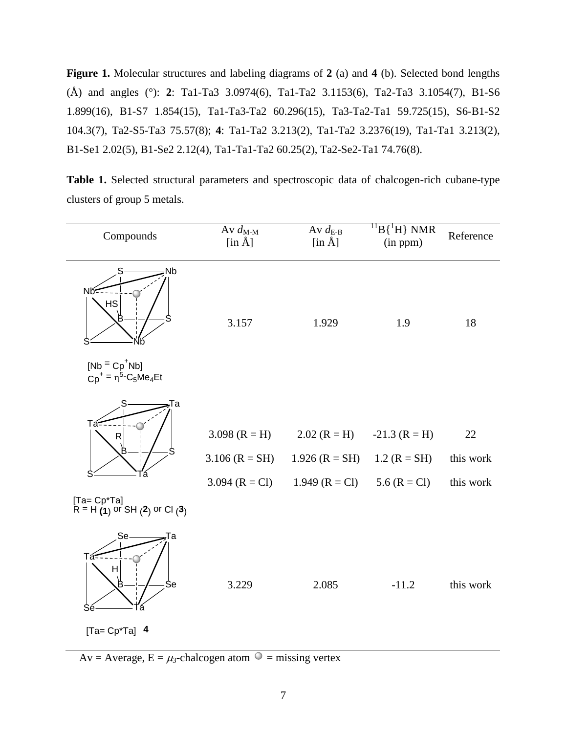**Figure 1.** Molecular structures and labeling diagrams of **2** (a) and **4** (b). Selected bond lengths (Å) and angles (°): **2**: Ta1-Ta3 3.0974(6), Ta1-Ta2 3.1153(6), Ta2-Ta3 3.1054(7), B1-S6 1.899(16), B1-S7 1.854(15), Ta1-Ta3-Ta2 60.296(15), Ta3-Ta2-Ta1 59.725(15), S6-B1-S2 104.3(7), Ta2-S5-Ta3 75.57(8); **4**: Ta1-Ta2 3.213(2), Ta1-Ta2 3.2376(19), Ta1-Ta1 3.213(2), B1-Se1 2.02(5), B1-Se2 2.12(4), Ta1-Ta1-Ta2 60.25(2), Ta2-Se2-Ta1 74.76(8).

**Table 1.** Selected structural parameters and spectroscopic data of chalcogen-rich cubane-type clusters of group 5 metals.

| Compounds                                                        | Av $d_{M-M}$<br>$[\text{in }\AA]$                       | Av $d_{E-B}$<br>$[\text{in }\AA]$                      | $^{11}B$ { <sup>1</sup> H} NMR<br>(in ppm)          | Reference                    |
|------------------------------------------------------------------|---------------------------------------------------------|--------------------------------------------------------|-----------------------------------------------------|------------------------------|
| Nb<br>S<br>Nб<br>HS<br>Ë                                         | 3.157                                                   | 1.929                                                  | 1.9                                                 | 18                           |
| $[Nb = Cp^+Nb]$<br>$Cp^+ = \eta^5 - C_5Me_4Et$                   |                                                         |                                                        |                                                     |                              |
| Га<br>Tá<br>$\mathsf R$                                          | 3.098 $(R = H)$<br>$3.106$ (R = SH)<br>3.094 $(R = Cl)$ | $2.02 (R = H)$<br>$1.926$ (R = SH)<br>1.949 $(R = Cl)$ | $-21.3$ (R = H)<br>1.2 $(R = SH)$<br>5.6 $(R = Cl)$ | 22<br>this work<br>this work |
| $[Ta=Cp^*Ta]$<br>$R = H(1)$ or SH(2) or Cl(3)                    |                                                         |                                                        |                                                     |                              |
| Se-<br>Tа<br>Tá:<br>H<br>B<br>Se<br>Sé<br>а<br>$[Ta = Cp^*Ta]$ 4 | 3.229                                                   | 2.085                                                  | $-11.2$                                             | this work                    |

Av = Average,  $E = \mu_3$ -chalcogen atom  $\circ$  = missing vertex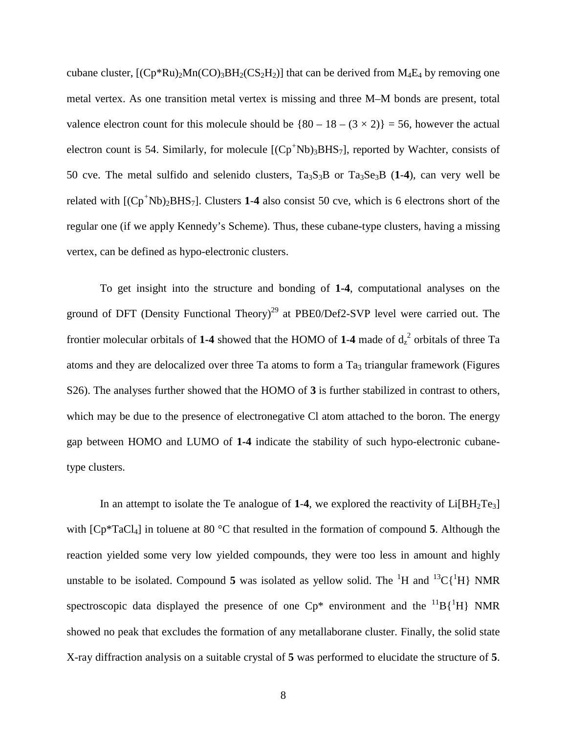cubane cluster,  $[(Cp*Ru)<sub>2</sub>Mn(CO)<sub>3</sub>BH<sub>2</sub>(CS<sub>2</sub>H<sub>2</sub>)]$  that can be derived from  $M<sub>4</sub>E<sub>4</sub>$  by removing one metal vertex. As one transition metal vertex is missing and three M–M bonds are present, total valence electron count for this molecule should be  $\{80 - 18 - (3 \times 2)\} = 56$ , however the actual electron count is 54. Similarly, for molecule [(Cp<sup>+</sup>Nb)<sub>3</sub>BHS<sub>7</sub>], reported by Wachter, consists of 50 cve. The metal sulfido and selenido clusters,  $Ta_3S_3B$  or  $Ta_3Se_3B$  (1-4), can very well be related with [(Cp*<sup>+</sup>* Nb)2BHS7]. Clusters **1**-**4** also consist 50 cve, which is 6 electrons short of the regular one (if we apply Kennedy's Scheme). Thus, these cubane-type clusters, having a missing vertex, can be defined as hypo-electronic clusters.

To get insight into the structure and bonding of **1-4**, computational analyses on the ground of DFT (Density Functional Theory)<sup>29</sup> at PBE0/Def2-SVP level were carried out. The frontier molecular orbitals of 1-4 showed that the HOMO of 1-4 made of  $d_2^2$  orbitals of three Ta atoms and they are delocalized over three Ta atoms to form a  $Ta<sub>3</sub>$  triangular framework (Figures S26). The analyses further showed that the HOMO of **3** is further stabilized in contrast to others, which may be due to the presence of electronegative Cl atom attached to the boron. The energy gap between HOMO and LUMO of **1-4** indicate the stability of such hypo-electronic cubanetype clusters.

In an attempt to isolate the Te analogue of  $1-4$ , we explored the reactivity of  $Li[BH<sub>2</sub>Te<sub>3</sub>]$ with [Cp\*TaCl4] in toluene at 80 °C that resulted in the formation of compound **5**. Although the reaction yielded some very low yielded compounds, they were too less in amount and highly unstable to be isolated. Compound 5 was isolated as yellow solid. The  ${}^{1}H$  and  ${}^{13}C[{}^{1}H]$  NMR spectroscopic data displayed the presence of one  $Cp^*$  environment and the  ${}^{11}B\{{}^{1}H\}$  NMR showed no peak that excludes the formation of any metallaborane cluster. Finally, the solid state X-ray diffraction analysis on a suitable crystal of **5** was performed to elucidate the structure of **5**.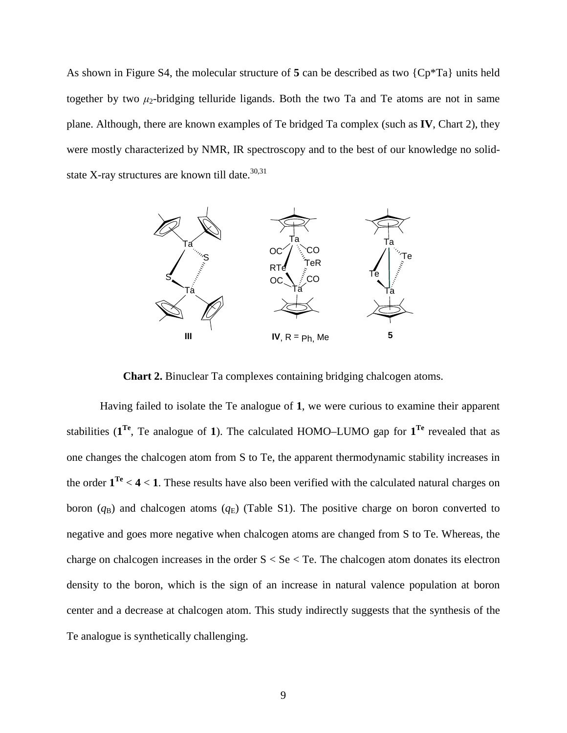As shown in Figure S4, the molecular structure of **5** can be described as two {Cp\*Ta} units held together by two  $\mu_2$ -bridging telluride ligands. Both the two Ta and Te atoms are not in same plane. Although, there are known examples of Te bridged Ta complex (such as **IV**, Chart 2), they were mostly characterized by NMR, IR spectroscopy and to the best of our knowledge no solidstate X-ray structures are known till date.<sup>30,31</sup>



**Chart 2.** Binuclear Ta complexes containing bridging chalcogen atoms.

Having failed to isolate the Te analogue of **1**, we were curious to examine their apparent stabilities  $(\mathbf{1}^{\text{Te}}, \text{Te})$  analogue of **1**). The calculated HOMO–LUMO gap for  $\mathbf{1}^{\text{Te}}$  revealed that as one changes the chalcogen atom from S to Te, the apparent thermodynamic stability increases in the order **1Te** < **4** < **1**. These results have also been verified with the calculated natural charges on boron  $(q_B)$  and chalcogen atoms  $(q_E)$  (Table S1). The positive charge on boron converted to negative and goes more negative when chalcogen atoms are changed from S to Te. Whereas, the charge on chalcogen increases in the order  $S < Se < Te$ . The chalcogen atom donates its electron density to the boron, which is the sign of an increase in natural valence population at boron center and a decrease at chalcogen atom. This study indirectly suggests that the synthesis of the Te analogue is synthetically challenging.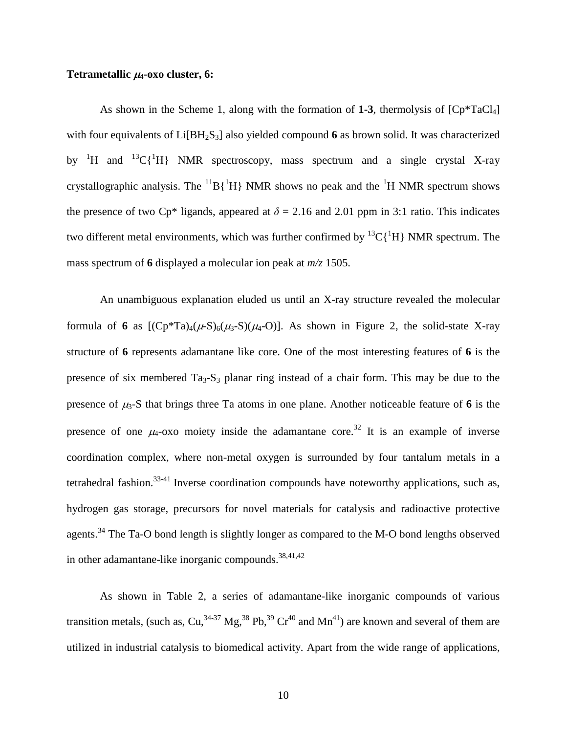#### **Tetrametallic** <sup>µ</sup>**4-oxo cluster, 6:**

As shown in the Scheme 1, along with the formation of  $1-3$ , thermolysis of  $[Cp^*TaCl_4]$ with four equivalents of Li[BH<sub>2</sub>S<sub>3</sub>] also yielded compound 6 as brown solid. It was characterized by <sup>1</sup>H and <sup>13</sup>C{<sup>1</sup>H} NMR spectroscopy, mass spectrum and a single crystal X-ray crystallographic analysis. The  ${}^{11}B\{{}^{1}H\}$  NMR shows no peak and the  ${}^{1}H$  NMR spectrum shows the presence of two Cp<sup>\*</sup> ligands, appeared at  $\delta = 2.16$  and 2.01 ppm in 3:1 ratio. This indicates two different metal environments, which was further confirmed by  ${}^{13}C[{^1H}]$  NMR spectrum. The mass spectrum of **6** displayed a molecular ion peak at *m/z* 1505.

An unambiguous explanation eluded us until an X-ray structure revealed the molecular formula of 6 as  $[(Cp*Ta)<sub>4</sub>(\mu-S)<sub>6</sub>(\mu<sub>3</sub>-S)(\mu<sub>4</sub>-O)]$ . As shown in Figure 2, the solid-state X-ray structure of **6** represents adamantane like core. One of the most interesting features of **6** is the presence of six membered  $Ta_3-S_3$  planar ring instead of a chair form. This may be due to the presence of  $\mu_3$ -S that brings three Ta atoms in one plane. Another noticeable feature of 6 is the presence of one  $\mu_4$ -oxo moiety inside the adamantane core.<sup>32</sup> It is an example of inverse coordination complex, where non-metal oxygen is surrounded by four tantalum metals in a tetrahedral fashion.<sup>33-41</sup> Inverse coordination compounds have noteworthy applications, such as, hydrogen gas storage, precursors for novel materials for catalysis and radioactive protective agents.<sup>34</sup> The Ta-O bond length is slightly longer as compared to the M-O bond lengths observed in other adamantane-like inorganic compounds.<sup>38,41,42</sup>

As shown in Table 2, a series of adamantane-like inorganic compounds of various transition metals, (such as, Cu,  $34-37$  Mg,  $38$  Pb,  $39$  Cr<sup>40</sup> and Mn<sup>41</sup>) are known and several of them are utilized in industrial catalysis to biomedical activity. Apart from the wide range of applications,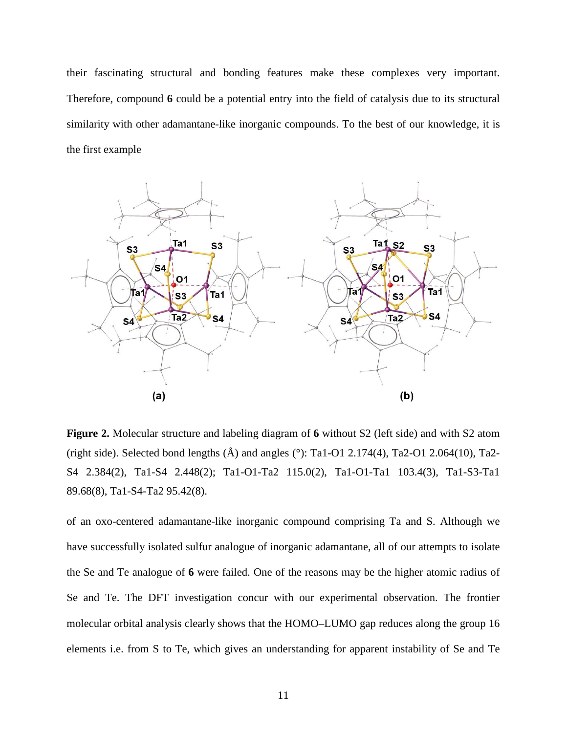their fascinating structural and bonding features make these complexes very important. Therefore, compound **6** could be a potential entry into the field of catalysis due to its structural similarity with other adamantane-like inorganic compounds. To the best of our knowledge, it is the first example



**Figure 2.** Molecular structure and labeling diagram of **6** without S2 (left side) and with S2 atom (right side). Selected bond lengths  $(A)$  and angles (°): Ta1-O1 2.174(4), Ta2-O1 2.064(10), Ta2-S4 2.384(2), Ta1-S4 2.448(2); Ta1-O1-Ta2 115.0(2), Ta1-O1-Ta1 103.4(3), Ta1-S3-Ta1 89.68(8), Ta1-S4-Ta2 95.42(8).

of an oxo-centered adamantane-like inorganic compound comprising Ta and S. Although we have successfully isolated sulfur analogue of inorganic adamantane, all of our attempts to isolate the Se and Te analogue of **6** were failed. One of the reasons may be the higher atomic radius of Se and Te. The DFT investigation concur with our experimental observation. The frontier molecular orbital analysis clearly shows that the HOMO–LUMO gap reduces along the group 16 elements i.e. from S to Te, which gives an understanding for apparent instability of Se and Te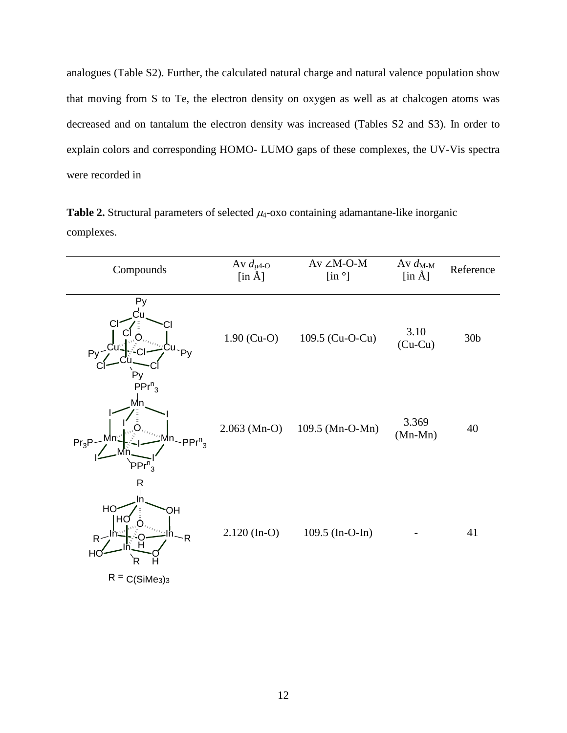analogues (Table S2). Further, the calculated natural charge and natural valence population show that moving from S to Te, the electron density on oxygen as well as at chalcogen atoms was decreased and on tantalum the electron density was increased (Tables S2 and S3). In order to explain colors and corresponding HOMO- LUMO gaps of these complexes, the UV-Vis spectra were recorded in

**Table 2.** Structural parameters of selected  $\mu_4$ -oxo containing adamantane-like inorganic complexes.

| Compounds                                                                                    | Av $d_{\mu 4-O}$<br>$[$ in $\AA]$ | Av $\angle M\text{-O-M}$<br>$\left[ \text{in} \right]$ | Av $d_{M-M}$<br>$[\text{in } \AA]$ | Reference       |
|----------------------------------------------------------------------------------------------|-----------------------------------|--------------------------------------------------------|------------------------------------|-----------------|
| Py<br>Сu<br>Ü<br>Pv<br>Py<br><b>Py</b>                                                       | $1.90$ (Cu-O)                     | 109.5 (Cu-O-Cu)                                        | 3.10<br>$(Cu-Cu)$                  | 30 <sub>b</sub> |
| $PPr^n_3$<br>Mn.<br><sup>, In</sup> ~ PPr <sup>n</sup> <sub>3</sub><br>$Pr_3P-$<br>$PPr^n$   | $2.063$ (Mn-O)                    | 109.5 (Mn-O-Mn)                                        | 3.369<br>$(Mn-Mn)$                 | 40              |
| R<br>HO<br>ЭH<br>HU<br>$-R$<br>R <sub>1</sub><br>H <sub>0</sub><br>R<br>H<br>$R = C(SiMe3)3$ | $2.120$ (In-O)                    | 109.5 (In-O-In)                                        |                                    | 41              |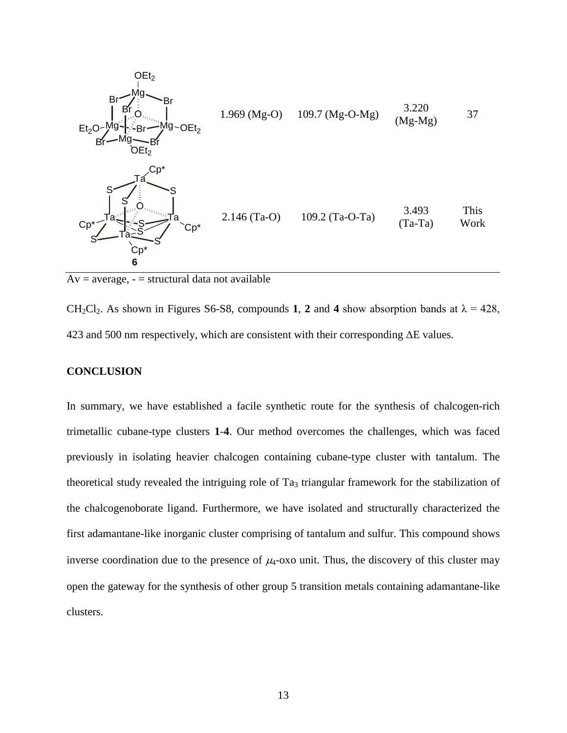

 $Av = average, - = structural data not available$ 

CH<sub>2</sub>Cl<sub>2</sub>. As shown in Figures S6-S8, compounds **1**, **2** and **4** show absorption bands at  $\lambda = 428$ , 423 and 500 nm respectively, which are consistent with their corresponding  $\Delta E$  values.

#### **CONCLUSION**

In summary, we have established a facile synthetic route for the synthesis of chalcogen-rich trimetallic cubane-type clusters **1**-**4**. Our method overcomes the challenges, which was faced previously in isolating heavier chalcogen containing cubane-type cluster with tantalum. The theoretical study revealed the intriguing role of  $Ta_3$  triangular framework for the stabilization of the chalcogenoborate ligand. Furthermore, we have isolated and structurally characterized the first adamantane-like inorganic cluster comprising of tantalum and sulfur. This compound shows inverse coordination due to the presence of  $\mu_4$ -oxo unit. Thus, the discovery of this cluster may open the gateway for the synthesis of other group 5 transition metals containing adamantane-like clusters.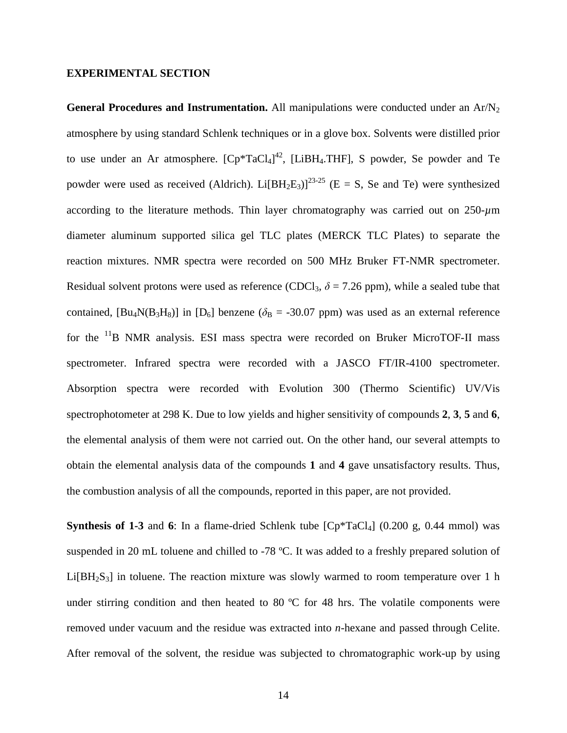#### **EXPERIMENTAL SECTION**

General Procedures and Instrumentation. All manipulations were conducted under an Ar/N<sub>2</sub> atmosphere by using standard Schlenk techniques or in a glove box. Solvents were distilled prior to use under an Ar atmosphere.  ${[Cp^*TaCl_4]}^{42}$ , [LiBH<sub>4</sub>.THF], S powder, Se powder and Te powder were used as received (Aldrich). Li $[BH_2E_3]^{23-25}$  (E = S, Se and Te) were synthesized according to the literature methods. Thin layer chromatography was carried out on 250-*µ*m diameter aluminum supported silica gel TLC plates (MERCK TLC Plates) to separate the reaction mixtures. NMR spectra were recorded on 500 MHz Bruker FT-NMR spectrometer. Residual solvent protons were used as reference (CDCl<sub>3</sub>,  $\delta$  = 7.26 ppm), while a sealed tube that contained,  $[Bu_4N(B_3H_8)]$  in  $[D_6]$  benzene ( $\delta_B = -30.07$  ppm) was used as an external reference for the 11B NMR analysis. ESI mass spectra were recorded on Bruker MicroTOF-II mass spectrometer. Infrared spectra were recorded with a JASCO FT/IR-4100 spectrometer. Absorption spectra were recorded with Evolution 300 (Thermo Scientific) UV/Vis spectrophotometer at 298 K. Due to low yields and higher sensitivity of compounds **2**, **3**, **5** and **6**, the elemental analysis of them were not carried out. On the other hand, our several attempts to obtain the elemental analysis data of the compounds **1** and **4** gave unsatisfactory results. Thus, the combustion analysis of all the compounds, reported in this paper, are not provided.

**Synthesis of 1-3** and 6: In a flame-dried Schlenk tube  $[CP^*TaCl_4]$  (0.200 g, 0.44 mmol) was suspended in 20 mL toluene and chilled to -78 °C. It was added to a freshly prepared solution of  $Li[BH<sub>2</sub>S<sub>3</sub>]$  in toluene. The reaction mixture was slowly warmed to room temperature over 1 h under stirring condition and then heated to 80  $^{\circ}$ C for 48 hrs. The volatile components were removed under vacuum and the residue was extracted into *n*-hexane and passed through Celite. After removal of the solvent, the residue was subjected to chromatographic work-up by using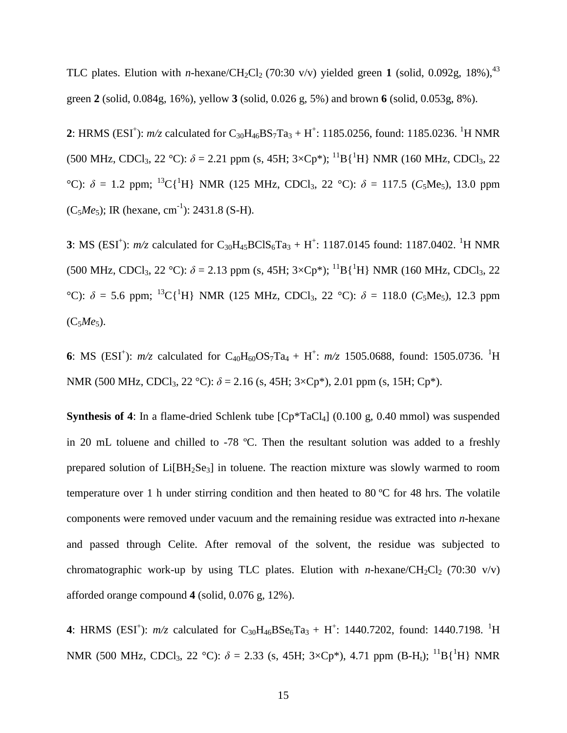TLC plates. Elution with *n*-hexane/CH<sub>2</sub>Cl<sub>2</sub> (70:30 v/v) yielded green 1 (solid, 0.092g, 18%),<sup>43</sup> green **2** (solid, 0.084g, 16%), yellow **3** (solid, 0.026 g, 5%) and brown **6** (solid, 0.053g, 8%).

2: HRMS (ESI<sup>+</sup>):  $m/z$  calculated for C<sub>30</sub>H<sub>46</sub>BS<sub>7</sub>Ta<sub>3</sub> + H<sup>+</sup>: 1185.0256, found: 1185.0236. <sup>1</sup>H NMR (500 MHz, CDCl<sub>3</sub>, 22 °C):  $\delta$  = 2.21 ppm (s, 45H; 3×Cp<sup>\*</sup>); <sup>11</sup>B{<sup>1</sup>H} NMR (160 MHz, CDCl<sub>3</sub>, 22 <sup>o</sup>C):  $\delta = 1.2$  ppm; <sup>13</sup>C{<sup>1</sup>H} NMR (125 MHz, CDCl<sub>3</sub>, 22 <sup>o</sup>C):  $\delta = 117.5$  (*C*<sub>5</sub>Me<sub>5</sub>), 13.0 ppm  $(C_5Me_5)$ ; IR (hexane, cm<sup>-1</sup>): 2431.8 (S-H).

**3**: MS (ESI<sup>+</sup>):  $m/z$  calculated for C<sub>30</sub>H<sub>45</sub>BClS<sub>6</sub>Ta<sub>3</sub> + H<sup>+</sup>: 1187.0145 found: 1187.0402. <sup>1</sup>H NMR (500 MHz, CDCl<sub>3</sub>, 22 °C):  $\delta$  = 2.13 ppm (s, 45H; 3×Cp<sup>\*</sup>); <sup>11</sup>B{<sup>1</sup>H} NMR (160 MHz, CDCl<sub>3</sub>, 22 <sup>o</sup>C):  $\delta$  = 5.6 ppm; <sup>13</sup>C{<sup>1</sup>H} NMR (125 MHz, CDCl<sub>3</sub>, 22 <sup>o</sup>C):  $\delta$  = 118.0 (*C*<sub>5</sub>Me<sub>5</sub>), 12.3 ppm  $(C_5Me_5)$ .

6: MS (ESI<sup>+</sup>):  $m/z$  calculated for C<sub>40</sub>H<sub>60</sub>OS<sub>7</sub>Ta<sub>4</sub> + H<sup>+</sup>:  $m/z$  1505.0688, found: 1505.0736. <sup>1</sup>H NMR (500 MHz, CDCl<sub>3</sub>, 22 °C):  $\delta$  = 2.16 (s, 45H; 3×Cp<sup>\*</sup>), 2.01 ppm (s, 15H; Cp<sup>\*</sup>).

**Synthesis of 4**: In a flame-dried Schlenk tube  $[Cp*TaCl_4]$  (0.100 g, 0.40 mmol) was suspended in 20 mL toluene and chilled to -78 ºC. Then the resultant solution was added to a freshly prepared solution of Li[BH2Se3] in toluene. The reaction mixture was slowly warmed to room temperature over 1 h under stirring condition and then heated to 80 ºC for 48 hrs. The volatile components were removed under vacuum and the remaining residue was extracted into *n*-hexane and passed through Celite. After removal of the solvent, the residue was subjected to chromatographic work-up by using TLC plates. Elution with *n*-hexane/CH<sub>2</sub>Cl<sub>2</sub> (70:30 v/v) afforded orange compound **4** (solid, 0.076 g, 12%).

4: HRMS (ESI<sup>+</sup>):  $m/z$  calculated for  $C_{30}H_{46}BSe_6Ta_3 + H^+$ : 1440.7202, found: 1440.7198. <sup>1</sup>H NMR (500 MHz, CDCl<sub>3</sub>, 22 °C):  $\delta = 2.33$  (s, 45H; 3×Cp<sup>\*</sup>), 4.71 ppm (B-H<sub>t</sub>); <sup>11</sup>B{<sup>1</sup>H} NMR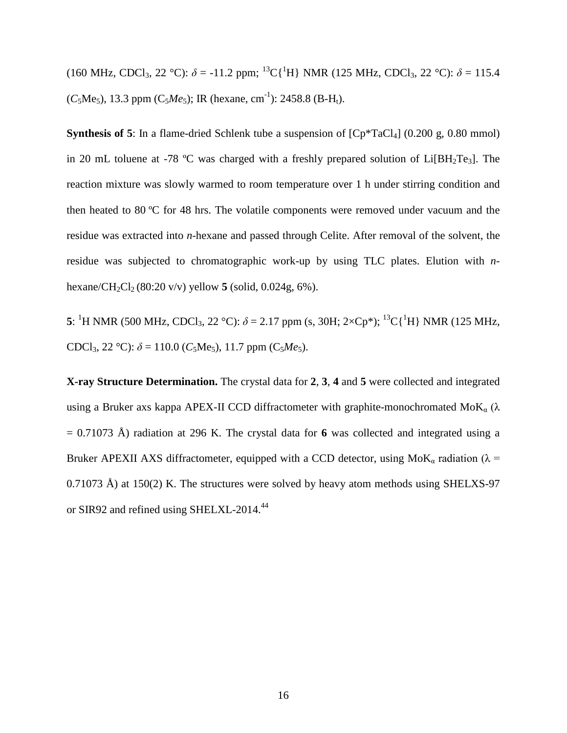(160 MHz, CDCl<sub>3</sub>, 22 °C):  $\delta$  = -11.2 ppm; <sup>13</sup>C{<sup>1</sup>H} NMR (125 MHz, CDCl<sub>3</sub>, 22 °C):  $\delta$  = 115.4  $(C_5Me_5)$ , 13.3 ppm  $(C_5Me_5)$ ; IR (hexane, cm<sup>-1</sup>): 2458.8 (B-H<sub>t</sub>).

**Synthesis of 5**: In a flame-dried Schlenk tube a suspension of  $[Cp^*TaCl_4]$  (0.200 g, 0.80 mmol) in 20 mL toluene at -78  $^{\circ}$ C was charged with a freshly prepared solution of Li[BH<sub>2</sub>Te<sub>3</sub>]. The reaction mixture was slowly warmed to room temperature over 1 h under stirring condition and then heated to 80 ºC for 48 hrs. The volatile components were removed under vacuum and the residue was extracted into *n*-hexane and passed through Celite. After removal of the solvent, the residue was subjected to chromatographic work-up by using TLC plates. Elution with *n*hexane/CH<sub>2</sub>Cl<sub>2</sub> (80:20 v/v) yellow **5** (solid, 0.024g, 6%).

**5**: <sup>1</sup>H NMR (500 MHz, CDCl<sub>3</sub>, 22 °C):  $\delta$  = 2.17 ppm (s, 30H; 2×Cp<sup>\*</sup>); <sup>13</sup>C{<sup>1</sup>H} NMR (125 MHz, CDCl<sub>3</sub>, 22 °C):  $\delta$  = 110.0 (*C*<sub>5</sub>Me<sub>5</sub>), 11.7 ppm (*C*<sub>5</sub>*Me*<sub>5</sub>).

**X-ray Structure Determination.** The crystal data for **2**, **3**, **4** and **5** were collected and integrated using a Bruker axs kappa APEX-II CCD diffractometer with graphite-monochromated MoK $_{\alpha}$  ( $\lambda$ ) = 0.71073 Å) radiation at 296 K. The crystal data for **6** was collected and integrated using a Bruker APEXII AXS diffractometer, equipped with a CCD detector, using MoK<sub>a</sub> radiation ( $\lambda$  = 0.71073 Å) at 150(2) K. The structures were solved by heavy atom methods using SHELXS-97 or SIR92 and refined using SHELXL-2014.<sup>44</sup>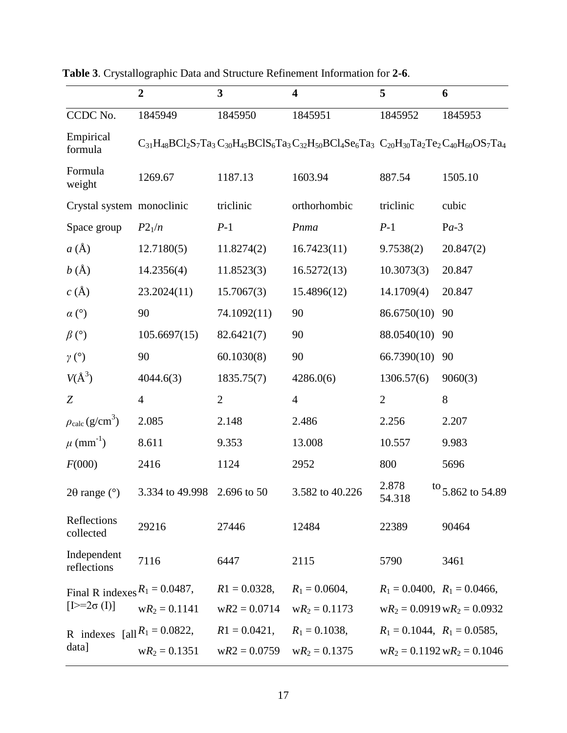|                                                       | $\overline{2}$  | $\overline{\mathbf{3}}$ | $\overline{\mathbf{4}}$                                                                                           | 5                                 | 6                                         |
|-------------------------------------------------------|-----------------|-------------------------|-------------------------------------------------------------------------------------------------------------------|-----------------------------------|-------------------------------------------|
| CCDC No.                                              | 1845949         | 1845950                 | 1845951                                                                                                           | 1845952                           | 1845953                                   |
| Empirical<br>formula                                  |                 |                         | $C_{31}H_{48}BC1_2S_7Ta_3C_{30}H_{45}BCIS_6Ta_3C_{32}H_{50}BC1_4Se_6Ta_3C_{20}H_{30}Ta_2Te_2C_{40}H_{60}OS_7Ta_4$ |                                   |                                           |
| Formula<br>weight                                     | 1269.67         | 1187.13                 | 1603.94                                                                                                           | 887.54                            | 1505.10                                   |
| Crystal system monoclinic                             |                 | triclinic               | orthorhombic                                                                                                      | triclinic                         | cubic                                     |
| Space group                                           | $P2_1/n$        | $P-1$                   | Pnma                                                                                                              | $P-1$                             | $Pa-3$                                    |
| $a(\AA)$                                              | 12.7180(5)      | 11.8274(2)              | 16.7423(11)                                                                                                       | 9.7538(2)                         | 20.847(2)                                 |
| b(A)                                                  | 14.2356(4)      | 11.8523(3)              | 16.5272(13)                                                                                                       | 10.3073(3)                        | 20.847                                    |
| $c(\AA)$                                              | 23.2024(11)     | 15.7067(3)              | 15.4896(12)                                                                                                       | 14.1709(4)                        | 20.847                                    |
| $\alpha$ (°)                                          | 90              | 74.1092(11)             | 90                                                                                                                | 86.6750(10)                       | 90                                        |
| $\beta$ (°)                                           | 105.6697(15)    | 82.6421(7)              | 90                                                                                                                | 88.0540(10)                       | 90                                        |
| $\gamma$ (°)                                          | 90              | 60.1030(8)              | 90                                                                                                                | 66.7390(10)                       | 90                                        |
| $V(A^3)$                                              | 4044.6(3)       | 1835.75(7)              | 4286.0(6)                                                                                                         | 1306.57(6)                        | 9060(3)                                   |
| Z                                                     | $\overline{4}$  | $\mathbf{2}$            | $\overline{4}$                                                                                                    | $\overline{2}$                    | 8                                         |
| $\rho_{\rm calc}\left({\rm g/cm}^3\right)$            | 2.085           | 2.148                   | 2.486                                                                                                             | 2.256                             | 2.207                                     |
| $\mu$ (mm <sup>-1</sup> )                             | 8.611           | 9.353                   | 13.008                                                                                                            | 10.557                            | 9.983                                     |
| F(000)                                                | 2416            | 1124                    | 2952                                                                                                              | 800                               | 5696                                      |
| $2\theta$ range ( $\degree$ )                         | 3.334 to 49.998 | 2.696 to 50             | 3.582 to 40.226                                                                                                   | 2.878<br>54.318                   | $\frac{\text{to}}{\text{5.862}}$ to 54.89 |
| Reflections<br>collected                              | 29216           | 27446                   | 12484                                                                                                             | 22389                             | 90464                                     |
| Independent<br>reflections                            | 7116            | 6447                    | 2115                                                                                                              | 5790                              | 3461                                      |
| Final R indexes $R_1 = 0.0487$ ,<br>$[1>=2\sigma(I)]$ |                 | $R1 = 0.0328$ ,         | $R_1 = 0.0604$ ,                                                                                                  | $R_1 = 0.0400$ , $R_1 = 0.0466$ , |                                           |
|                                                       | $wR_2 = 0.1141$ | $wR2 = 0.0714$          | $wR_2 = 0.1173$                                                                                                   |                                   | $wR_2 = 0.0919 wR_2 = 0.0932$             |
| R indexes $[a  R_1 = 0.0822]$ ,<br>data]              |                 | $R1 = 0.0421,$          | $R_1 = 0.1038$ ,                                                                                                  | $R_1 = 0.1044$ , $R_1 = 0.0585$ , |                                           |
|                                                       | $wR_2 = 0.1351$ | $wR2 = 0.0759$          | $wR_2 = 0.1375$                                                                                                   |                                   | $wR_2 = 0.1192 wR_2 = 0.1046$             |

**Table 3**. Crystallographic Data and Structure Refinement Information for **2-6**.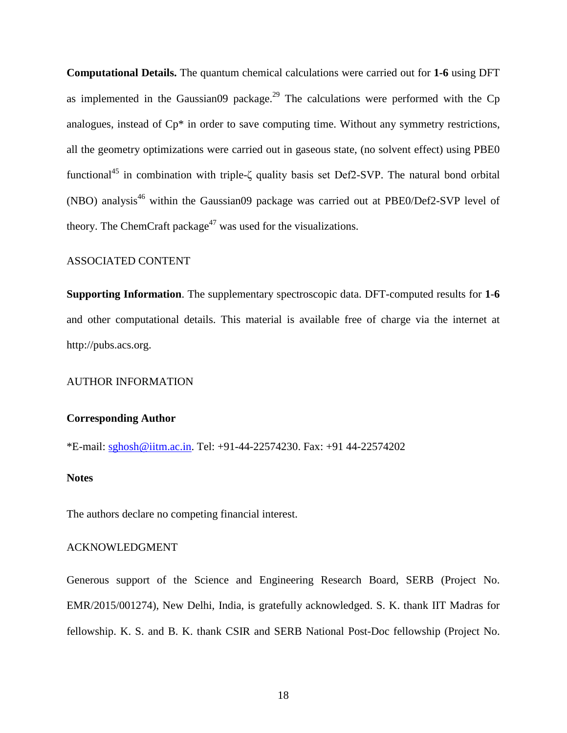**Computational Details.** The quantum chemical calculations were carried out for **1-6** using DFT as implemented in the Gaussian09 package.<sup>29</sup> The calculations were performed with the Cp analogues, instead of Cp\* in order to save computing time. Without any symmetry restrictions, all the geometry optimizations were carried out in gaseous state, (no solvent effect) using PBE0 functional<sup>45</sup> in combination with triple- $\zeta$  quality basis set Def2-SVP. The natural bond orbital (NBO) analysis<sup>46</sup> within the Gaussian09 package was carried out at PBE0/Def2-SVP level of theory. The ChemCraft package<sup>47</sup> was used for the visualizations.

#### ASSOCIATED CONTENT

**Supporting Information**. The supplementary spectroscopic data. DFT-computed results for **1**-**6** and other computational details. This material is available free of charge via the internet at http://pubs.acs.org.

#### AUTHOR INFORMATION

#### **Corresponding Author**

\*E-mail: [sghosh@iitm.ac.in.](mailto:sghosh@iitm.ac.in) Tel: +91-44-22574230. Fax: +91 44-22574202

#### **Notes**

The authors declare no competing financial interest.

#### ACKNOWLEDGMENT

Generous support of the Science and Engineering Research Board, SERB (Project No. EMR/2015/001274), New Delhi, India, is gratefully acknowledged. S. K. thank IIT Madras for fellowship. K. S. and B. K. thank CSIR and SERB National Post-Doc fellowship (Project No.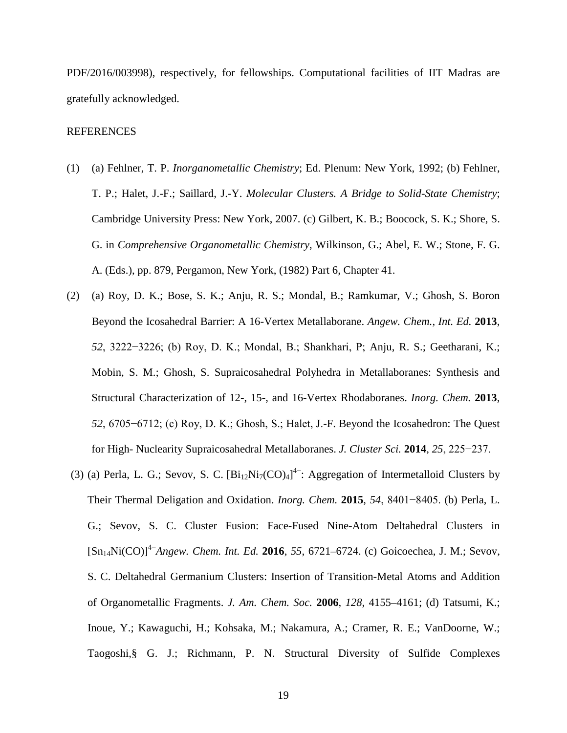PDF/2016/003998), respectively, for fellowships. Computational facilities of IIT Madras are gratefully acknowledged.

#### REFERENCES

- (1) (a) Fehlner, T. P. *Inorganometallic Chemistry*; Ed. Plenum: New York, 1992; (b) Fehlner, T. P.; Halet, J.-F.; Saillard, J.-Y. *Molecular Clusters. A Bridge to Solid-State Chemistry*; Cambridge University Press: New York, 2007. (c) Gilbert, K. B.; Boocock, S. K.; Shore, S. G. in *Comprehensive Organometallic Chemistry*, Wilkinson, G.; Abel, E. W.; Stone, F. G. A. (Eds.), pp. 879, Pergamon, New York, (1982) Part 6, Chapter 41.
- (2) (a) Roy, D. K.; Bose, S. K.; Anju, R. S.; Mondal, B.; Ramkumar, V.; Ghosh, S. Boron Beyond the Icosahedral Barrier: A 16-Vertex Metallaborane. *Angew. Chem., Int. Ed.* **2013**, *52*, 3222−3226; (b) Roy, D. K.; Mondal, B.; Shankhari, P; Anju, R. S.; Geetharani, K.; Mobin, S. M.; Ghosh, S. Supraicosahedral Polyhedra in Metallaboranes: Synthesis and Structural Characterization of 12-, 15-, and 16-Vertex Rhodaboranes. *Inorg. Chem.* **2013**, *52*, 6705−6712; (c) Roy, D. K.; Ghosh, S.; Halet, J.-F. Beyond the Icosahedron: The Quest for High- Nuclearity Supraicosahedral Metallaboranes. *J. Cluster Sci.* **2014**, *25*, 225−237.
- (3) (a) Perla, L. G.; Sevov, S. C.  $[Bi_{12}Ni_{7}(CO)_4]^4$ : Aggregation of Intermetalloid Clusters by Their Thermal Deligation and Oxidation. *Inorg. Chem.* **2015**, *54*, 8401−8405. (b) Perla, L. G.; Sevov, S. C. Cluster Fusion: Face-Fused Nine-Atom Deltahedral Clusters in [Sn14Ni(CO)]4−*Angew. Chem. Int. Ed.* **2016**, *55*, 6721–6724. (c) Goicoechea, J. M.; Sevov, S. C. Deltahedral Germanium Clusters: Insertion of Transition-Metal Atoms and Addition of Organometallic Fragments. *J. Am. Chem. Soc.* **2006**, *128*, 4155–4161; (d) Tatsumi, K.; Inoue, Y.; Kawaguchi, H.; Kohsaka, M.; Nakamura, A.; Cramer, R. E.; VanDoorne, W.; Taogoshi,§ G. J.; Richmann, P. N. Structural Diversity of Sulfide Complexes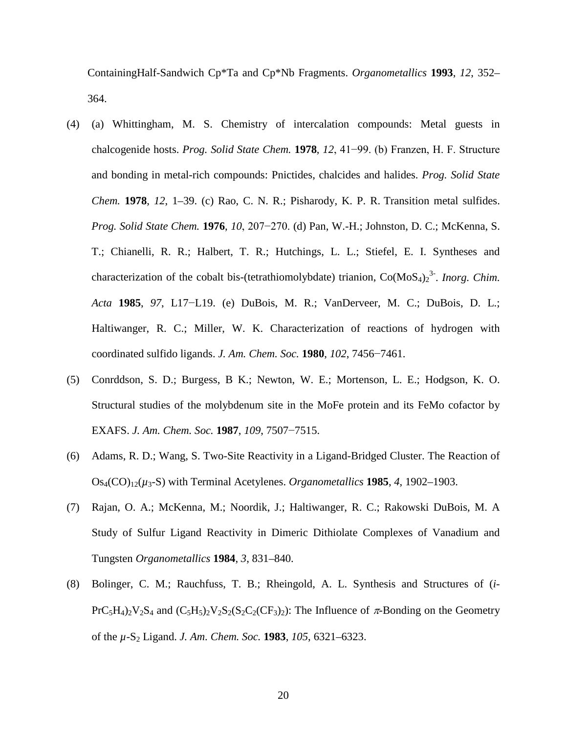ContainingHalf-Sandwich Cp\*Ta and Cp\*Nb Fragments. *Organometallics* **1993**, *12*, 352– 364.

- (4) (a) Whittingham, M. S. Chemistry of intercalation compounds: Metal guests in chalcogenide hosts. *Prog. Solid State Chem.* **1978**, *12*, 41−99. (b) Franzen, H. F. Structure and bonding in metal-rich compounds: Pnictides, chalcides and halides. *Prog. Solid State Chem.* **1978**, *12*, 1–39. (c) Rao, C. N. R.; Pisharody, K. P. R. Transition metal sulfides. *Prog. Solid State Chem.* **1976**, *10*, 207−270. (d) Pan, W.-H.; Johnston, D. C.; McKenna, S. T.; Chianelli, R. R.; Halbert, T. R.; Hutchings, L. L.; Stiefel, E. I. Syntheses and characterization of the cobalt bis-(tetrathiomolybdate) trianion,  $Co(MoS<sub>4</sub>)<sub>2</sub><sup>3</sup>$ . *Inorg. Chim. Acta* **1985**, *97*, L17−L19. (e) DuBois, M. R.; VanDerveer, M. C.; DuBois, D. L.; Haltiwanger, R. C.; Miller, W. K. Characterization of reactions of hydrogen with coordinated sulfido ligands. *J. Am. Chem. Soc.* **1980**, *102*, 7456−7461.
- (5) Conrddson, S. D.; Burgess, B K.; Newton, W. E.; Mortenson, L. E.; Hodgson, K. O. Structural studies of the molybdenum site in the MoFe protein and its FeMo cofactor by EXAFS. *J. Am. Chem. Soc.* **1987**, *109*, 7507−7515.
- (6) Adams, R. D.; Wang, S. Two-Site Reactivity in a Ligand-Bridged Cluster. The Reaction of  $O_{S_4}(CO)_{12}(\mu_3-S)$  with Terminal Acetylenes. *Organometallics* **1985**, 4, 1902–1903.
- (7) Rajan, O. A.; McKenna, M.; Noordik, J.; Haltiwanger, R. C.; Rakowski DuBois, M. A Study of Sulfur Ligand Reactivity in Dimeric Dithiolate Complexes of Vanadium and Tungsten *Organometallics* **1984**, *3*, 831–840.
- (8) Bolinger, C. M.; Rauchfuss, T. B.; Rheingold, A. L. Synthesis and Structures of (*i*- $PrC_5H_4$ )<sub>2</sub>V<sub>2</sub>S<sub>4</sub> and  $(C_5H_5)$ <sub>2</sub>V<sub>2</sub>S<sub>2</sub>(S<sub>2</sub>C<sub>2</sub>(CF<sub>3</sub>)<sub>2</sub>): The Influence of  $\pi$ -Bonding on the Geometry of the *µ*-S2 Ligand. *J. Am. Chem. Soc.* **1983**, *105*, 6321–6323.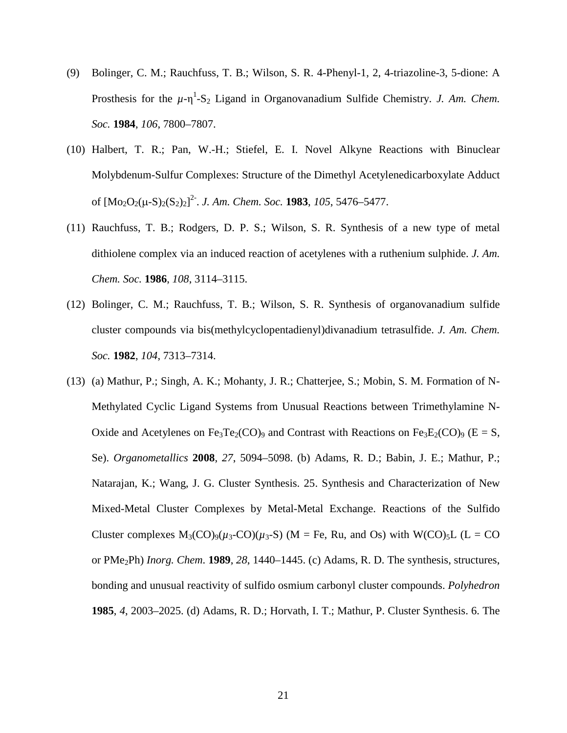- (9) Bolinger, C. M.; Rauchfuss, T. B.; Wilson, S. R. 4-Phenyl-1, 2, 4-triazoline-3, 5-dione: A Prosthesis for the  $\mu$ - $\eta$ <sup>1</sup>-S<sub>2</sub> Ligand in Organovanadium Sulfide Chemistry. *J. Am. Chem. Soc.* **1984**, *106*, 7800–7807.
- (10) Halbert, T. R.; Pan, W.-H.; Stiefel, E. I. Novel Alkyne Reactions with Binuclear Molybdenum-Sulfur Complexes: Structure of the Dimethyl Acetylenedicarboxylate Adduct of [Mo2O2(µ-S)2(S2)2] 2- . *J. Am. Chem. Soc.* **1983**, *105*, 5476–5477.
- (11) Rauchfuss, T. B.; Rodgers, D. P. S.; Wilson, S. R. Synthesis of a new type of metal dithiolene complex via an induced reaction of acetylenes with a ruthenium sulphide. *J. Am. Chem. Soc.* **1986**, *108*, 3114–3115.
- (12) Bolinger, C. M.; Rauchfuss, T. B.; Wilson, S. R. Synthesis of organovanadium sulfide cluster compounds via bis(methylcyclopentadienyl)divanadium tetrasulfide. *J. Am. Chem. Soc.* **1982**, *104*, 7313–7314.
- (13) (a) Mathur, P.; Singh, A. K.; Mohanty, J. R.; Chatterjee, S.; Mobin, S. M. Formation of N-Methylated Cyclic Ligand Systems from Unusual Reactions between Trimethylamine N-Oxide and Acetylenes on Fe<sub>3</sub>Te<sub>2</sub>(CO)<sub>9</sub> and Contrast with Reactions on Fe<sub>3</sub>E<sub>2</sub>(CO)<sub>9</sub> (E = S, Se). *Organometallics* **2008**, *27*, 5094–5098. (b) Adams, R. D.; Babin, J. E.; Mathur, P.; Natarajan, K.; Wang, J. G. Cluster Synthesis. 25. Synthesis and Characterization of New Mixed-Metal Cluster Complexes by Metal-Metal Exchange. Reactions of the Sulfido Cluster complexes  $M_3(CO)_9(\mu_3-CO)(\mu_3-S)$  (M = Fe, Ru, and Os) with W(CO)<sub>5</sub>L (L = CO or PMe2Ph) *Inorg. Chem.* **1989**, *28*, 1440–1445. (c) Adams, R. D. The synthesis, structures, bonding and unusual reactivity of sulfido osmium carbonyl cluster compounds. *Polyhedron* **1985**, *4*, 2003–2025. (d) Adams, R. D.; Horvath, I. T.; Mathur, P. Cluster Synthesis. 6. The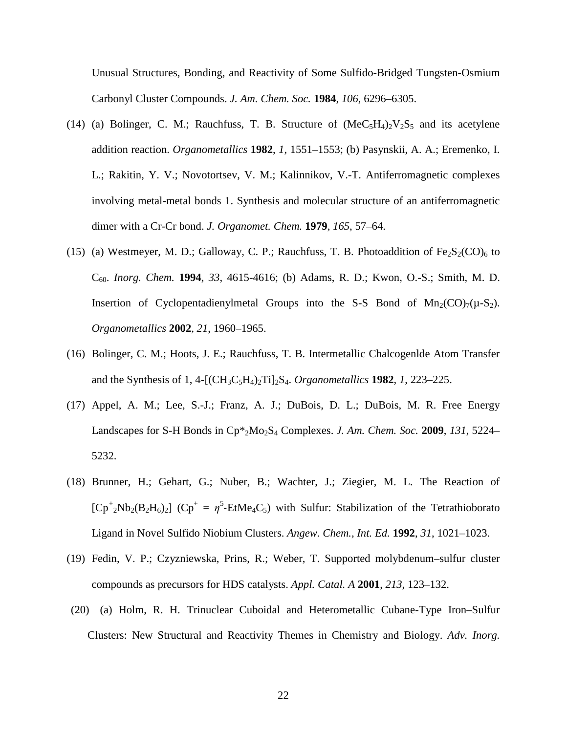Unusual Structures, Bonding, and Reactivity of Some Sulfido-Bridged Tungsten-Osmium Carbonyl Cluster Compounds. *J. Am. Chem. Soc.* **1984**, *106*, 6296–6305.

- (14) (a) Bolinger, C. M.; Rauchfuss, T. B. Structure of  $(MeC_5H_4)_2V_2S_5$  and its acetylene addition reaction. *Organometallics* **1982**, *1*, 1551–1553; (b) Pasynskii, A. A.; Eremenko, I. L.; Rakitin, Y. V.; Novotortsev, V. M.; Kalinnikov, V.-T. Antiferromagnetic complexes involving metal-metal bonds 1. Synthesis and molecular structure of an antiferromagnetic dimer with a Cr-Cr bond. *J. Organomet. Chem.* **1979**, *165*, 57–64.
- (15) (a) Westmeyer, M. D.; Galloway, C. P.; Rauchfuss, T. B. Photoaddition of  $Fe<sub>2</sub>S<sub>2</sub>(CO)<sub>6</sub>$  to C60. *Inorg. Chem.* **1994**, *33*, 4615-4616; (b) Adams, R. D.; Kwon, O.-S.; Smith, M. D. Insertion of Cyclopentadienylmetal Groups into the S-S Bond of  $Mn_2(CO)_{7}(\mu-S_2)$ . *Organometallics* **2002**, *21*, 1960–1965.
- (16) Bolinger, C. M.; Hoots, J. E.; Rauchfuss, T. B. Intermetallic Chalcogenlde Atom Transfer and the Synthesis of 1, 4-[(CH3C5H4)2Ti]2S4. *Organometallics* **1982**, *1*, 223–225.
- (17) Appel, A. M.; Lee, S.-J.; Franz, A. J.; DuBois, D. L.; DuBois, M. R. Free Energy Landscapes for S-H Bonds in Cp\*2Mo2S4 Complexes. *J. Am. Chem. Soc.* **2009**, *131*, 5224– 5232.
- (18) Brunner, H.; Gehart, G.; Nuber, B.; Wachter, J.; Ziegier, M. L. The Reaction of  $[Cp^+_{2}Nb_2(B_2H_6)_2]$   $(Cp^+ = \eta^5$ -EtMe<sub>4</sub>C<sub>5</sub>) with Sulfur: Stabilization of the Tetrathioborato Ligand in Novel Sulfido Niobium Clusters. *Angew. Chem., Int. Ed.* **1992**, *31*, 1021–1023.
- (19) Fedin, V. P.; Czyzniewska, Prins, R.; Weber, T. Supported molybdenum–sulfur cluster compounds as precursors for HDS catalysts. *Appl. Catal. A* **2001**, *213*, 123–132.
- (20) (a) Holm, R. H. Trinuclear Cuboidal and Heterometallic Cubane-Type Iron–Sulfur Clusters: New Structural and Reactivity Themes in Chemistry and Biology. *Adv. Inorg.*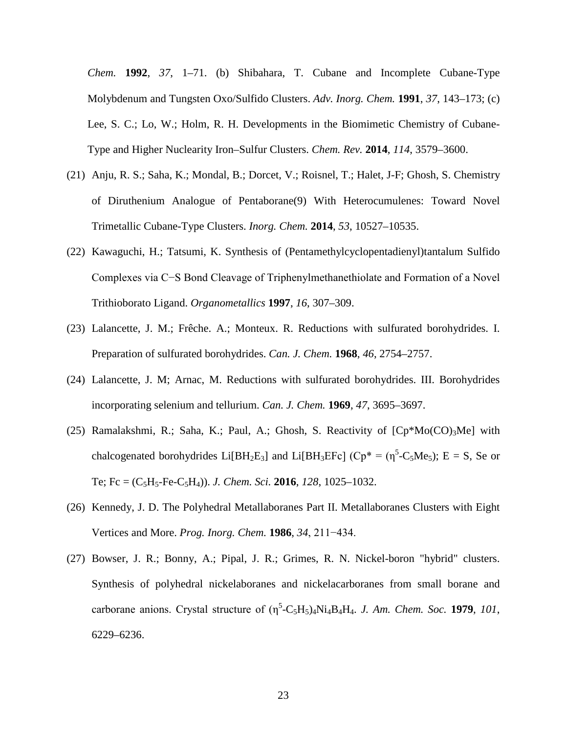*Chem.* **1992**, *37*, 1–71. (b) Shibahara, T. Cubane and Incomplete Cubane-Type Molybdenum and Tungsten Oxo/Sulfido Clusters. *Adv. Inorg. Chem.* **1991**, *37*, 143–173; (c[\)](https://pubs.acs.org/author/Lee%2C+Sonny+C) [Lee,](https://pubs.acs.org/author/Lee%2C+Sonny+C) S. C.; [Lo,](https://pubs.acs.org/author/Lo%2C+Wayne) W.; Holm, R. H. Developments in the Biomimetic Chemistry of Cubane-Type and Higher Nuclearity Iron–Sulfur Clusters. *Chem. Rev.* **2014**, *114*, 3579–3600.

- (21) Anju, R. S.; Saha, K.; Mondal, B.; Dorcet, V.; Roisnel, T.; Halet, J-F; Ghosh, S. Chemistry of Diruthenium Analogue of Pentaborane(9) With Heterocumulenes: Toward Novel Trimetallic Cubane-Type Clusters. *Inorg. Chem.* **2014**, *53*, 10527–10535.
- (22) Kawaguchi, H.; Tatsumi, K. Synthesis of (Pentamethylcyclopentadienyl)tantalum Sulfido Complexes via C−S Bond Cleavage of Triphenylmethanethiolate and Formation of a Novel Trithioborato Ligand. *Organometallics* **1997**, *16*, 307–309.
- (23) Lalancette, J. M.; Frêche. A.; Monteux. R. Reductions with sulfurated borohydrides. I. Preparation of sulfurated borohydrides. *Can. J. Chem.* **1968**, *46*, 2754–2757.
- (24) Lalancette, J. M; Arnac, M. Reductions with sulfurated borohydrides. III. Borohydrides incorporating selenium and tellurium. *Can. J. Chem.* **1969**, *47*, 3695–3697.
- (25) Ramalakshmi, R.; Saha, K.; Paul, A.; Ghosh, S. Reactivity of  $[Cp*Mo(CO)<sub>3</sub>Me]$  with chalcogenated borohydrides Li $[BH_2E_3]$  and Li $[BH_3EFc]$  (Cp<sup>\*</sup> = ( $\eta$ <sup>5</sup>-C<sub>5</sub>Me<sub>5</sub>); E = S, Se or Te; Fc =  $(C_5H_5$ -Fe- $C_5H_4$ ). *J. Chem. Sci.* **2016**, *128*, 1025–1032.
- (26) Kennedy, J. D. The Polyhedral Metallaboranes Part II. Metallaboranes Clusters with Eight Vertices and More. *Prog. Inorg. Chem.* **1986**, *34*, 211−434.
- (27) Bowser, J. R.; Bonny, A.; Pipal, J. R.; Grimes, R. N. Nickel-boron "hybrid" clusters. Synthesis of polyhedral nickelaboranes and nickelacarboranes from small borane and carborane anions. Crystal structure of  $(\eta^5$ -C<sub>5</sub>H<sub>5</sub>)<sub>4</sub>Ni<sub>4</sub>B<sub>4</sub>H<sub>4</sub>. *J. Am. Chem. Soc.* **1979**, *101*, 6229–6236.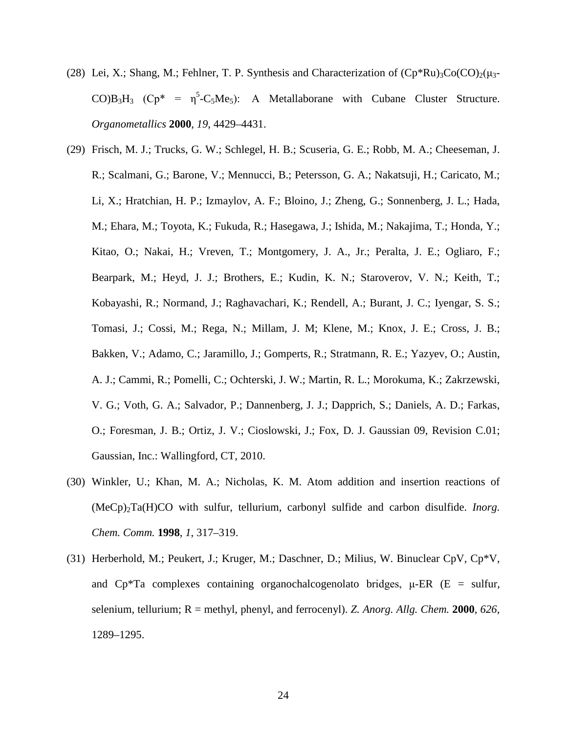- (28) Lei, X.; Shang, M.; Fehlner, T. P. Synthesis and Characterization of  $(Cp*Ru)_{3}Co(CO)_{2}(\mu_{3}-\mu_{3})$  $CO$ ) $B_3H_3$  ( $Cp^* = \eta^5-C_5Me_5$ ): A Metallaborane with Cubane Cluster Structure. *Organometallics* **2000**, *19*, 4429–4431.
- (29) Frisch, M. J.; Trucks, G. W.; Schlegel, H. B.; Scuseria, G. E.; Robb, M. A.; Cheeseman, J. R.; Scalmani, G.; Barone, V.; Mennucci, B.; Petersson, G. A.; Nakatsuji, H.; Caricato, M.; Li, X.; Hratchian, H. P.; Izmaylov, A. F.; Bloino, J.; Zheng, G.; Sonnenberg, J. L.; Hada, M.; Ehara, M.; Toyota, K.; Fukuda, R.; Hasegawa, J.; Ishida, M.; Nakajima, T.; Honda, Y.; Kitao, O.; Nakai, H.; Vreven, T.; Montgomery, J. A., Jr.; Peralta, J. E.; Ogliaro, F.; Bearpark, M.; Heyd, J. J.; Brothers, E.; Kudin, K. N.; Staroverov, V. N.; Keith, T.; Kobayashi, R.; Normand, J.; Raghavachari, K.; Rendell, A.; Burant, J. C.; Iyengar, S. S.; Tomasi, J.; Cossi, M.; Rega, N.; Millam, J. M; Klene, M.; Knox, J. E.; Cross, J. B.; Bakken, V.; Adamo, C.; Jaramillo, J.; Gomperts, R.; Stratmann, R. E.; Yazyev, O.; Austin, A. J.; Cammi, R.; Pomelli, C.; Ochterski, J. W.; Martin, R. L.; Morokuma, K.; Zakrzewski, V. G.; Voth, G. A.; Salvador, P.; Dannenberg, J. J.; Dapprich, S.; Daniels, A. D.; Farkas, O.; Foresman, J. B.; Ortiz, J. V.; Cioslowski, J.; Fox, D. J. Gaussian 09, Revision C.01; Gaussian, Inc.: Wallingford, CT, 2010.
- (30) Winkler, U.; Khan, M. A.; Nicholas, K. M. Atom addition and insertion reactions of (MeCp)2Ta(H)CO with sulfur, tellurium, carbonyl sulfide and carbon disulfide. *Inorg. Chem. Comm.* **1998**, *1*, 317–319.
- (31) Herberhold, M.; Peukert, J.; Kruger, M.; Daschner, D.; Milius, W. Binuclear CpV, Cp\*V, and  $Cp^*Ta$  complexes containing organochalcogenolato bridges,  $\mu$ -ER (E = sulfur, selenium, tellurium; R = methyl, phenyl, and ferrocenyl). *Z. Anorg. Allg. Chem.* **2000**, *626*, 1289–1295.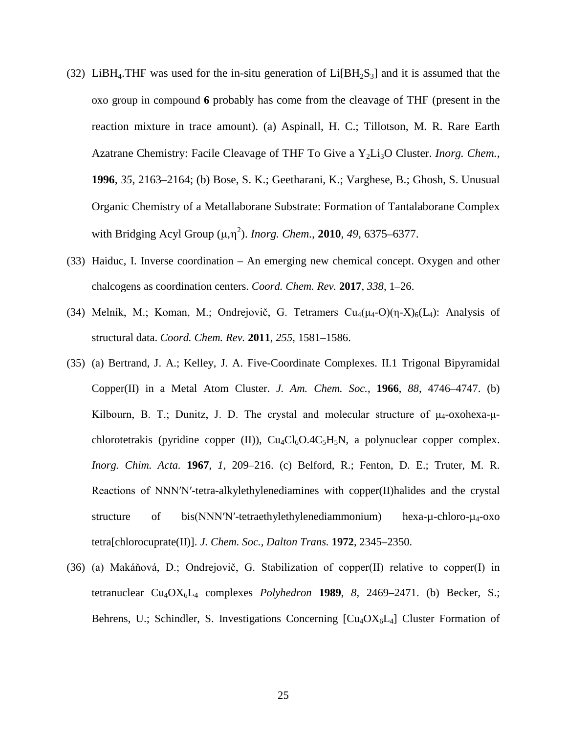- (32) LiBH<sub>4</sub>. THF was used for the in-situ generation of Li[BH<sub>2</sub>S<sub>3</sub>] and it is assumed that the oxo group in compound **6** probably has come from the cleavage of THF (present in the reaction mixture in trace amount). (a) Aspinall, H. C.; Tillotson, M. R. Rare Earth Azatrane Chemistry: Facile Cleavage of THF To Give a Y<sub>2</sub>Li<sub>3</sub>O Cluster. *Inorg. Chem.*, **1996**, *35*, 2163–2164; (b) Bose, S. K.; Geetharani, K.; Varghese, B.; Ghosh, S. Unusual Organic Chemistry of a Metallaborane Substrate: Formation of Tantalaborane Complex with Bridging Acyl Group (μ,η<sup>2</sup>). *Inorg. Chem.*, **2010**, 49, 6375–6377.
- (33) Haiduc, I. Inverse coordination An emerging new chemical concept. Oxygen and other chalcogens as coordination centers. *Coord. Chem. Rev.* **2017**, *338*, 1–26.
- (34) Melník, M.; Koman, M.; Ondrejovič, G. Tetramers  $Cu_4(\mu_4-O)(n-X)_6(L_4)$ : Analysis of structural data. *Coord. Chem. Rev.* **2011**, *255*, 1581–1586.
- (35) (a) Bertrand, J. A.; Kelley, J. A. Five-Coordinate Complexes. II.1 Trigonal Bipyramidal Copper(II) in a Metal Atom Cluster. *J. Am. Chem. Soc.*, **1966**, *88*, 4746–4747. (b) Kilbourn, B. T.; Dunitz, J. D. The crystal and molecular structure of  $\mu_4$ -oxohexa- $\mu$ chlorotetrakis (pyridine copper (II)),  $Cu_4Cl_6O.4C_5H_5N$ , a polynuclear copper complex. *Inorg. Chim. Acta.* **1967**, *1*, 209–216. (c) Belford, R.; Fenton, D. E.; Truter, M. R. Reactions of NNN′N′-tetra-alkylethylenediamines with copper(II)halides and the crystal structure of bis(NNN'N'-tetraethylethylenediammonium) hexa-µ-chloro-µ<sub>4</sub>-oxo tetra[chlorocuprate(II)]. *J. Chem. Soc., Dalton Trans.* **1972**, 2345–2350.
- (36) (a) Makáňová, D.; Ondrejovič, G. Stabilization of copper(II) relative to copper(I) in tetranuclear  $Cu_4OX_6L_4$  complexes *Polyhedron* 1989, 8, 2469–2471. (b) Becker, S.; Behrens, U.; Schindler, S. Investigations Concerning  $\lbrack Cu_4 O X_6 L_4 \rbrack$  Cluster Formation of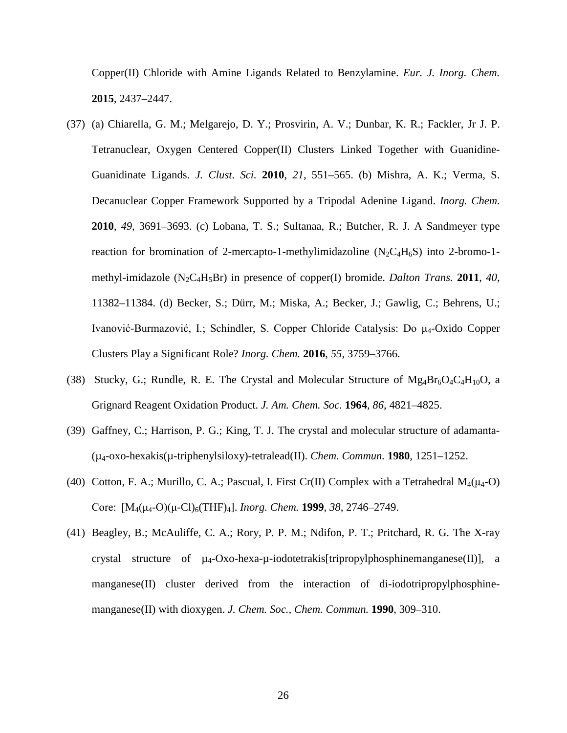Copper(II) Chloride with Amine Ligands Related to Benzylamine. *Eur. J. Inorg. Chem.* **2015**, 2437–2447.

- (37) (a) Chiarella, G. M.; Melgarejo, D. Y.; Prosvirin, A. V.; Dunbar, K. R.; Fackler, Jr J. P. Tetranuclear, Oxygen Centered Copper(II) Clusters Linked Together with Guanidine-Guanidinate Ligands. *J. Clust. Sci.* **2010**, *21*, 551–565. (b) Mishra, A. K.; Verma, S. Decanuclear Copper Framework Supported by a Tripodal Adenine Ligand. *Inorg. Chem.* **2010**, *49*, 3691–3693. (c) Lobana, T. S.; Sultanaa, R.; Butcher, R. J. A Sandmeyer type reaction for bromination of 2-mercapto-1-methylimidazoline  $(N_2C_4H_6S)$  into 2-bromo-1methyl-imidazole (N2C4H5Br) in presence of copper(I) bromide. *Dalton Trans.* **2011**, *40*, 11382–11384. (d) Becker, S.; Dürr, M.; Miska, A.; Becker, J.; Gawlig, C.; Behrens, U.; Ivanović-Burmazović, I.; Schindler, S. Copper Chloride Catalysis: Do μ4-Oxido Copper Clusters Play a Significant Role? *Inorg. Chem.* **2016**, *55*, 3759–3766.
- (38) Stucky, G.; Rundle, R. E. The Crystal and Molecular Structure of  $Mg_4Br_6O_4C_4H_{10}O$ , a Grignard Reagent Oxidation Product. *J. Am. Chem. Soc.* **1964**, *86*, 4821–4825.
- (39) Gaffney, C.; Harrison, P. G.; King, T. J. The crystal and molecular structure of adamanta- (µ4-oxo-hexakis(µ-triphenylsiloxy)-tetralead(II). *Chem. Commun.* **1980**, 1251–1252.
- (40) Cotton, F. A.; Murillo, C. A.; Pascual, I. First Cr(II) Complex with a Tetrahedral  $M_4(\mu_4$ -O) Core:  [M4(μ4-O)(μ-Cl)6(THF)4]. *Inorg. Chem.* **1999**, *38*, 2746–2749.
- (41) Beagley, B.; McAuliffe, C. A.; Rory, P. P. M.; Ndifon, P. T.; Pritchard, R. G. The X-ray crystal structure of  $\mu_4$ -Oxo-hexa- $\mu$ -iodotetrakis[tripropylphosphinemanganese(II)], a manganese(II) cluster derived from the interaction of di-iodotripropylphosphinemanganese(II) with dioxygen. *J. Chem. Soc., Chem. Commun.* **1990**, 309–310.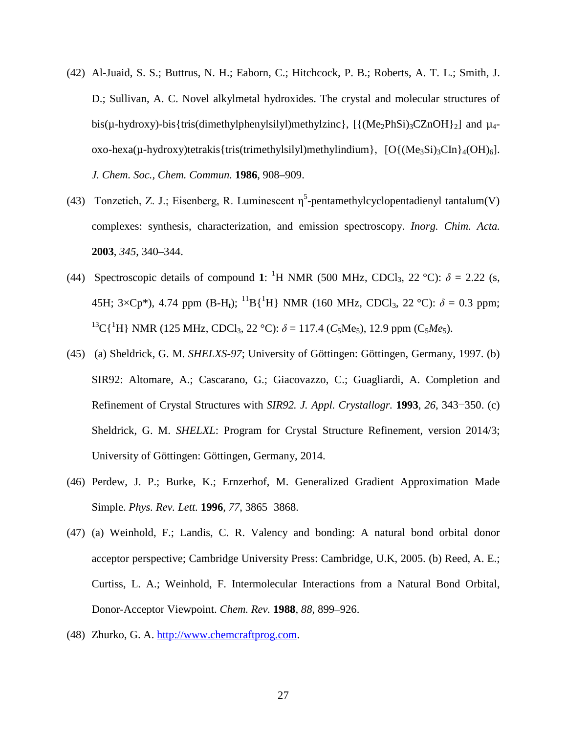- (42) Al-Juaid, S. S.; Buttrus, N. H.; Eaborn, C.; Hitchcock, P. B.; Roberts, A. T. L.; Smith, J. D.; Sullivan, A. C. Novel alkylmetal hydroxides. The crystal and molecular structures of bis( $\mu$ -hydroxy)-bis{tris(dimethylphenylsilyl)methylzinc}, [{(Me<sub>2</sub>PhSi)<sub>3</sub>CZnOH}<sub>2</sub>] and  $\mu_4$ oxo-hexa( $\mu$ -hydroxy)tetrakis{tris(trimethylsilyl)methylindium}, [O{(Me<sub>3</sub>Si)<sub>3</sub>CIn}<sub>4</sub>(OH)<sub>6</sub>]. *J. Chem. Soc., Chem. Commun.* **1986**, 908–909.
- (43) Tonzetich, Z. J.; Eisenberg, R. Luminescent  $\eta^5$ -pentamethylcyclopentadienyl tantalum(V) complexes: synthesis, characterization, and emission spectroscopy. *Inorg. Chim. Acta.*  **2003**, *345*, 340–344.
- (44) Spectroscopic details of compound 1: <sup>1</sup>H NMR (500 MHz, CDCl<sub>3</sub>, 22 °C):  $\delta$  = 2.22 (s, 45H; 3×Cp<sup>\*</sup>), 4.74 ppm (B-H<sub>t</sub>); <sup>11</sup>B{<sup>1</sup>H} NMR (160 MHz, CDCl<sub>3</sub>, 22 °C):  $\delta$  = 0.3 ppm; <sup>13</sup>C{<sup>1</sup>H} NMR (125 MHz, CDCl<sub>3</sub>, 22 °C):  $\delta$  = 117.4 (*C*<sub>5</sub>Me<sub>5</sub>), 12.9 ppm (C<sub>5</sub>Me<sub>5</sub>).
- (45) (a) Sheldrick, G. M. *SHELXS-97*; University of Göttingen: Göttingen, Germany, 1997. (b) SIR92: Altomare, A.; Cascarano, G.; Giacovazzo, C.; Guagliardi, A. Completion and Refinement of Crystal Structures with *SIR92. J. Appl. Crystallogr.* **1993**, *26*, 343−350. (c) Sheldrick, G. M. *SHELXL*: Program for Crystal Structure Refinement, version 2014/3; University of Göttingen: Göttingen, Germany, 2014.
- (46) Perdew, J. P.; Burke, K.; Ernzerhof, M. Generalized Gradient Approximation Made Simple. *Phys. Rev. Lett.* **1996**, *77*, 3865−3868.
- (47) (a) Weinhold, F.; Landis, C. R. Valency and bonding: A natural bond orbital donor acceptor perspective; Cambridge University Press: Cambridge, U.K, 2005. (b) Reed, A. E.; Curtiss, L. A.; Weinhold, F. Intermolecular Interactions from a Natural Bond Orbital, Donor-Acceptor Viewpoint. *Chem. Rev.* **1988**, *88*, 899–926.
- (48) Zhurko, G. A. [http://www.chemcraftprog.com.](http://www.chemcraftprog.com/)